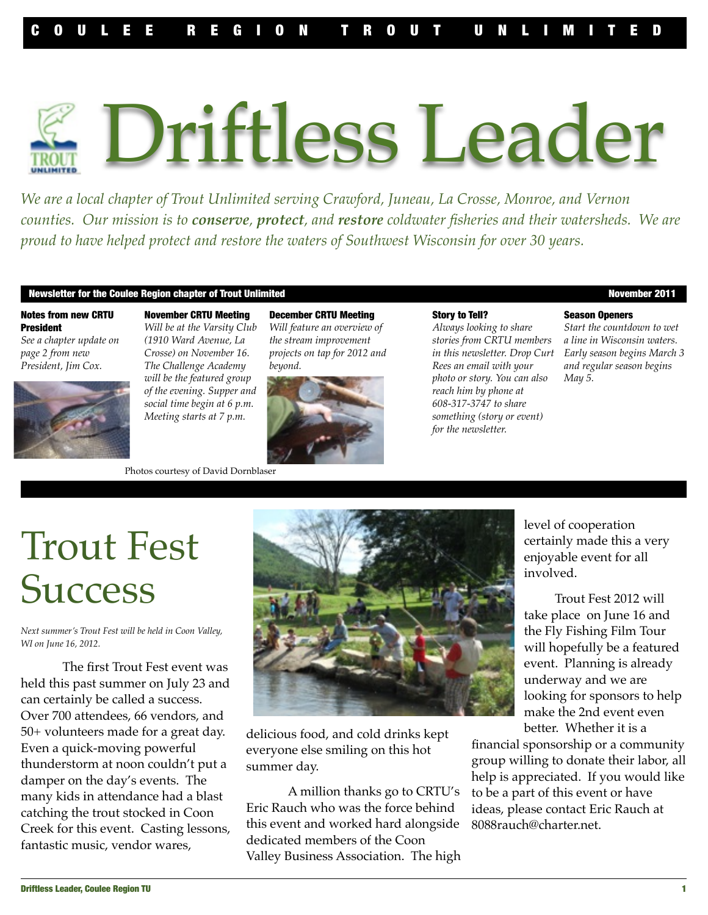# , Driftless Leader

*We are a local chapter of Trout Unlimited serving Crawford, Juneau, La Crosse, Monroe, and Vernon counties. Our mission is to conserve, protect, and restore coldwater fisheries and their watersheds. We are proud to have helped protect and restore the waters of Southwest Wisconsin for over 30 years.*

#### Newsletter for the Coulee Region chapter of Trout Unlimited November 2011

#### Notes from new CRTU President

*See a chapter update on page 2 from new President, Jim Cox.*



November CRTU Meeting *Will be at the Varsity Club (1910 Ward Avenue, La Crosse) on November 16. The Challenge Academy will be the featured group of the evening. Supper and social time begin at 6 p.m. Meeting starts at 7 p.m.*

December CRTU Meeting *Will feature an overview of the stream improvement projects on tap for 2012 and beyond.* 



Photos courtesy of David Dornblaser

#### Story to Tell?

*Always looking to share stories from CRTU members in this newsletter. Drop Curt Rees an email with your photo or story. You can also reach him by phone at 608-317-3747 to share something (story or event) for the newsletter.* 

#### Season Openers

*Start the countdown to wet a line in Wisconsin waters. Early season begins March 3 and regular season begins May 5.* 

## Trout Fest **Success**

*Next summer's Trout Fest will be held in Coon Valley, WI on June 16, 2012.* 

The first Trout Fest event was held this past summer on July 23 and can certainly be called a success. Over 700 attendees, 66 vendors, and 50+ volunteers made for a great day. Even a quick-moving powerful thunderstorm at noon couldn't put a damper on the day's events. The many kids in attendance had a blast catching the trout stocked in Coon Creek for this event. Casting lessons, fantastic music, vendor wares,



delicious food, and cold drinks kept everyone else smiling on this hot summer day.

A million thanks go to CRTU's Eric Rauch who was the force behind this event and worked hard alongside dedicated members of the Coon Valley Business Association. The high level of cooperation certainly made this a very enjoyable event for all involved.

Trout Fest 2012 will take place on June 16 and the Fly Fishing Film Tour will hopefully be a featured event. Planning is already underway and we are looking for sponsors to help make the 2nd event even better. Whether it is a

financial sponsorship or a community group willing to donate their labor, all help is appreciated. If you would like to be a part of this event or have ideas, please contact Eric Rauch at 8088rauch@charter.net.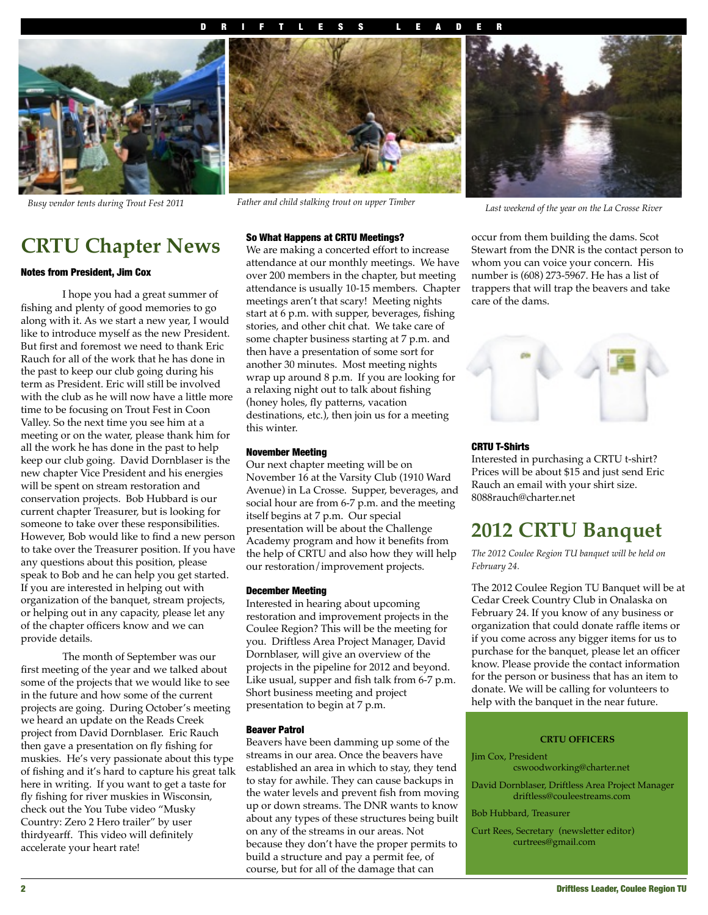#### DRIFTLESS LEADER



## **CRTU Chapter News**

#### Notes from President, Jim Cox

I hope you had a great summer of fishing and plenty of good memories to go along with it. As we start a new year, I would like to introduce myself as the new President. But first and foremost we need to thank Eric Rauch for all of the work that he has done in the past to keep our club going during his term as President. Eric will still be involved with the club as he will now have a little more time to be focusing on Trout Fest in Coon Valley. So the next time you see him at a meeting or on the water, please thank him for all the work he has done in the past to help keep our club going. David Dornblaser is the new chapter Vice President and his energies will be spent on stream restoration and conservation projects. Bob Hubbard is our current chapter Treasurer, but is looking for someone to take over these responsibilities. However, Bob would like to find a new person to take over the Treasurer position. If you have any questions about this position, please speak to Bob and he can help you get started. If you are interested in helping out with organization of the banquet, stream projects, or helping out in any capacity, please let any of the chapter officers know and we can provide details.

The month of September was our first meeting of the year and we talked about some of the projects that we would like to see in the future and how some of the current projects are going. During October's meeting we heard an update on the Reads Creek project from David Dornblaser. Eric Rauch then gave a presentation on fly fishing for muskies. He's very passionate about this type of fishing and it's hard to capture his great talk here in writing. If you want to get a taste for fly fishing for river muskies in Wisconsin, check out the You Tube video "Musky Country: Zero 2 Hero trailer" by user thirdyearff. This video will definitely accelerate your heart rate!



*Last weekend of the year on the La Crosse River Busy vendor tents during Trout Fest 2011 Father and child stalking trout on upper Timber*

#### So What Happens at CRTU Meetings?

We are making a concerted effort to increase attendance at our monthly meetings. We have over 200 members in the chapter, but meeting attendance is usually 10-15 members. Chapter meetings aren't that scary! Meeting nights start at 6 p.m. with supper, beverages, fishing stories, and other chit chat. We take care of some chapter business starting at 7 p.m. and then have a presentation of some sort for another 30 minutes. Most meeting nights wrap up around 8 p.m. If you are looking for a relaxing night out to talk about fishing (honey holes, fly patterns, vacation destinations, etc.), then join us for a meeting this winter.

#### November Meeting

Our next chapter meeting will be on November 16 at the Varsity Club (1910 Ward Avenue) in La Crosse. Supper, beverages, and social hour are from 6-7 p.m. and the meeting itself begins at 7 p.m. Our special presentation will be about the Challenge Academy program and how it benefits from the help of CRTU and also how they will help our restoration/improvement projects.

#### December Meeting

Interested in hearing about upcoming restoration and improvement projects in the Coulee Region? This will be the meeting for you. Driftless Area Project Manager, David Dornblaser, will give an overview of the projects in the pipeline for 2012 and beyond. Like usual, supper and fish talk from 6-7 p.m. Short business meeting and project presentation to begin at 7 p.m.

#### Beaver Patrol

Beavers have been damming up some of the streams in our area. Once the beavers have established an area in which to stay, they tend to stay for awhile. They can cause backups in the water levels and prevent fish from moving up or down streams. The DNR wants to know about any types of these structures being built on any of the streams in our areas. Not because they don't have the proper permits to build a structure and pay a permit fee, of course, but for all of the damage that can



occur from them building the dams. Scot Stewart from the DNR is the contact person to whom you can voice your concern. His number is (608) 273-5967. He has a list of trappers that will trap the beavers and take care of the dams.



#### CRTU T-Shirts

Interested in purchasing a CRTU t-shirt? Prices will be about \$15 and just send Eric Rauch an email with your shirt size. 8088rauch@charter.net

## **2012 CRTU Banquet**

*The 2012 Coulee Region TU banquet will be held on February 24.*

The 2012 Coulee Region TU Banquet will be at Cedar Creek Country Club in Onalaska on February 24. If you know of any business or organization that could donate raffle items or if you come across any bigger items for us to purchase for the banquet, please let an officer know. Please provide the contact information for the person or business that has an item to donate. We will be calling for volunteers to help with the banquet in the near future.

#### **CRTU OFFICERS**

- Jim Cox, President cswoodworking@charter.net
- David Dornblaser, Driftless Area Project Manager driftless@couleestreams.com
- Bob Hubbard, Treasurer
- Curt Rees, Secretary (newsletter editor) curtrees@gmail.com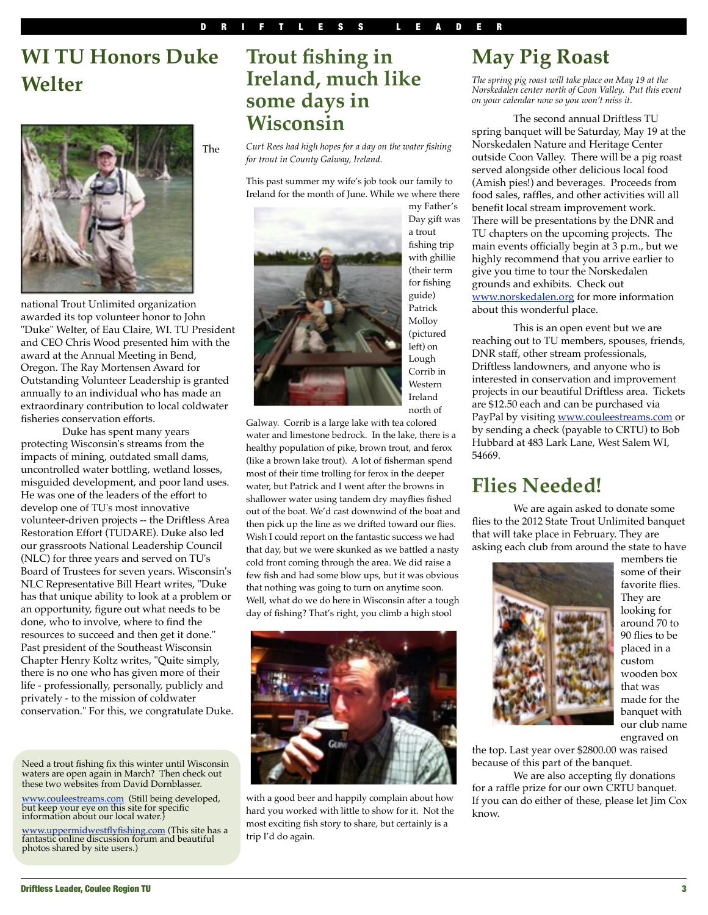## **WI TU Honors Duke Welter**



national Trout Unlimited organization awarded its top volunteer honor to John "Duke" Welter, of Eau Claire, WI. TU President and CEO Chris Wood presented him with the award at the Annual Meeting in Bend, Oregon. The Ray Mortensen Award for Outstanding Volunteer Leadership is granted annually to an individual who has made an extraordinary contribution to local coldwater fisheries conservation efforts.

Duke has spent many years protecting Wisconsin's streams from the impacts of mining, outdated small dams, uncontrolled water bottling, wetland losses, misguided development, and poor land uses. He was one of the leaders of the effort to develop one of TU's most innovative volunteer-driven projects -- the Driftless Area Restoration Effort (TUDARE). Duke also led our grassroots National Leadership Council (NLC) for three years and served on TU's Board of Trustees for seven years. Wisconsin's NLC Representative Bill Heart writes, "Duke has that unique ability to look at a problem or an opportunity, figure out what needs to be done, who to involve, where to find the resources to succeed and then get it done." Past president of the Southeast Wisconsin Chapter Henry Koltz writes, "Quite simply, there is no one who has given more of their life - professionally, personally, publicly and privately - to the mission of coldwater conservation." For this, we congratulate Duke.

Need a trout fishing fix this winter until Wisconsin waters are open again in March? Then check out these two websites from David Dornblasser.

www.couleestreams.com (Still being developed,<br>but keep your eye on this site for specific<br>information about our local water.)

www.uppermidwestflyfishing.com (This site has a fantastic online discussion forum and beautiful photos shared by site users.)

## **Trout fishing in Ireland, much like some days in Wisconsin**

*Curt Rees had high hopes for a day on the water fishing for trout in County Galway, Ireland.* 

This past summer my wife's job took our family to Ireland for the month of June. While we where there



my Father's Day gift was a trout fishing trip with ghillie (their term for fishing guide) Patrick Molloy (pictured left) on Lough Corrib in Western Ireland north of

Galway. Corrib is a large lake with tea colored water and limestone bedrock. In the lake, there is a healthy population of pike, brown trout, and ferox (like a brown lake trout). A lot of fisherman spend most of their time trolling for ferox in the deeper water, but Patrick and I went after the browns in shallower water using tandem dry mayflies fished out of the boat. We'd cast downwind of the boat and then pick up the line as we drifted toward our flies. Wish I could report on the fantastic success we had that day, but we were skunked as we battled a nasty cold front coming through the area. We did raise a few fish and had some blow ups, but it was obvious that nothing was going to turn on anytime soon. Well, what do we do here in Wisconsin after a tough day of fishing? That's right, you climb a high stool



with a good beer and happily complain about how hard you worked with little to show for it. Not the most exciting fish story to share, but certainly is a trip I'd do again.

## **May Pig Roast**

*The spring pig roast will take place on May 19 at the Norskedalen center north of Coon Valley. Put this event on your calendar now so you won't miss it.*

The second annual Driftless TU spring banquet will be Saturday, May 19 at the Norskedalen Nature and Heritage Center outside Coon Valley. There will be a pig roast served alongside other delicious local food (Amish pies!) and beverages. Proceeds from food sales, raffles, and other activities will all benefit local stream improvement work. There will be presentations by the DNR and TU chapters on the upcoming projects. The main events officially begin at 3 p.m., but we highly recommend that you arrive earlier to give you time to tour the Norskedalen grounds and exhibits. Check out www.norskedalen.org for more information about this wonderful place.

This is an open event but we are reaching out to TU members, spouses, friends, DNR staff, other stream professionals, Driftless landowners, and anyone who is interested in conservation and improvement projects in our beautiful Driftless area. Tickets are \$12.50 each and can be purchased via PayPal by visiting www.couleestreams.com or by sending a check (payable to CRTU) to Bob Hubbard at 483 Lark Lane, West Salem WI, 54669.

## **Flies Needed!**

We are again asked to donate some flies to the 2012 State Trout Unlimited banquet that will take place in February. They are asking each club from around the state to have



members tie some of their favorite flies. They are looking for around 70 to 90 flies to be placed in a custom wooden box that was made for the banquet with our club name engraved on

the top. Last year over \$2800.00 was raised because of this part of the banquet.

We are also accepting fly donations for a raffle prize for our own CRTU banquet. If you can do either of these, please let Jim Cox know.